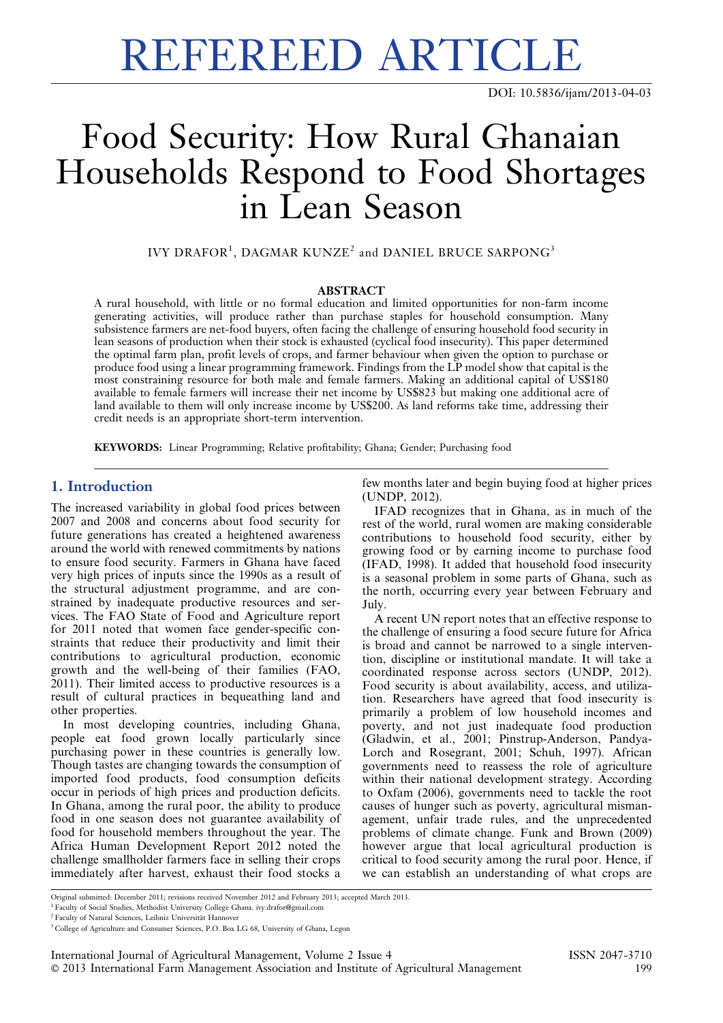# REFEREED ARTICLE

## Food Security: How Rural Ghanaian Households Respond to Food Shortages in Lean Season

IVY DRAFOR $^1$ , DAGMAR KUNZE $^2$  and DANIEL BRUCE SARPONG $^3$ 

#### ABSTRACT

A rural household, with little or no formal education and limited opportunities for non-farm income generating activities, will produce rather than purchase staples for household consumption. Many subsistence farmers are net-food buyers, often facing the challenge of ensuring household food security in lean seasons of production when their stock is exhausted (cyclical food insecurity). This paper determined the optimal farm plan, profit levels of crops, and farmer behaviour when given the option to purchase or produce food using a linear programming framework. Findings from the LP model show that capital is the most constraining resource for both male and female farmers. Making an additional capital of US\$180 available to female farmers will increase their net income by US\$823 but making one additional acre of land available to them will only increase income by US\$200. As land reforms take time, addressing their credit needs is an appropriate short-term intervention.

KEYWORDS: Linear Programming; Relative profitability; Ghana; Gender; Purchasing food

#### 1. Introduction

The increased variability in global food prices between 2007 and 2008 and concerns about food security for future generations has created a heightened awareness around the world with renewed commitments by nations to ensure food security. Farmers in Ghana have faced very high prices of inputs since the 1990s as a result of the structural adjustment programme, and are constrained by inadequate productive resources and services. The FAO State of Food and Agriculture report for 2011 noted that women face gender-specific constraints that reduce their productivity and limit their contributions to agricultural production, economic growth and the well-being of their families (FAO, 2011). Their limited access to productive resources is a result of cultural practices in bequeathing land and other properties.

In most developing countries, including Ghana, people eat food grown locally particularly since purchasing power in these countries is generally low. Though tastes are changing towards the consumption of imported food products, food consumption deficits occur in periods of high prices and production deficits. In Ghana, among the rural poor, the ability to produce food in one season does not guarantee availability of food for household members throughout the year. The Africa Human Development Report 2012 noted the challenge smallholder farmers face in selling their crops immediately after harvest, exhaust their food stocks a

few months later and begin buying food at higher prices (UNDP, 2012).

IFAD recognizes that in Ghana, as in much of the rest of the world, rural women are making considerable contributions to household food security, either by growing food or by earning income to purchase food (IFAD, 1998). It added that household food insecurity is a seasonal problem in some parts of Ghana, such as the north, occurring every year between February and July.

A recent UN report notes that an effective response to the challenge of ensuring a food secure future for Africa is broad and cannot be narrowed to a single intervention, discipline or institutional mandate. It will take a coordinated response across sectors (UNDP, 2012). Food security is about availability, access, and utilization. Researchers have agreed that food insecurity is primarily a problem of low household incomes and poverty, and not just inadequate food production (Gladwin, et al., 2001; Pinstrup-Anderson, Pandya-Lorch and Rosegrant, 2001; Schuh, 1997). African governments need to reassess the role of agriculture within their national development strategy. According to Oxfam (2006), governments need to tackle the root causes of hunger such as poverty, agricultural mismanagement, unfair trade rules, and the unprecedented problems of climate change. Funk and Brown (2009) however argue that local agricultural production is critical to food security among the rural poor. Hence, if we can establish an understanding of what crops are

Original submitted: December 2011; revisions received November 2012 and February 2013; accepted March 2013.

<sup>1</sup> Faculty of Social Studies, Methodist University College Ghana. ivy.drafor@gmail.com

<sup>2</sup> Faculty of Natural Sciences, Leibniz Universität Hannover

<sup>3</sup> College of Agriculture and Consumer Sciences, P.O. Box LG 68, University of Ghana, Legon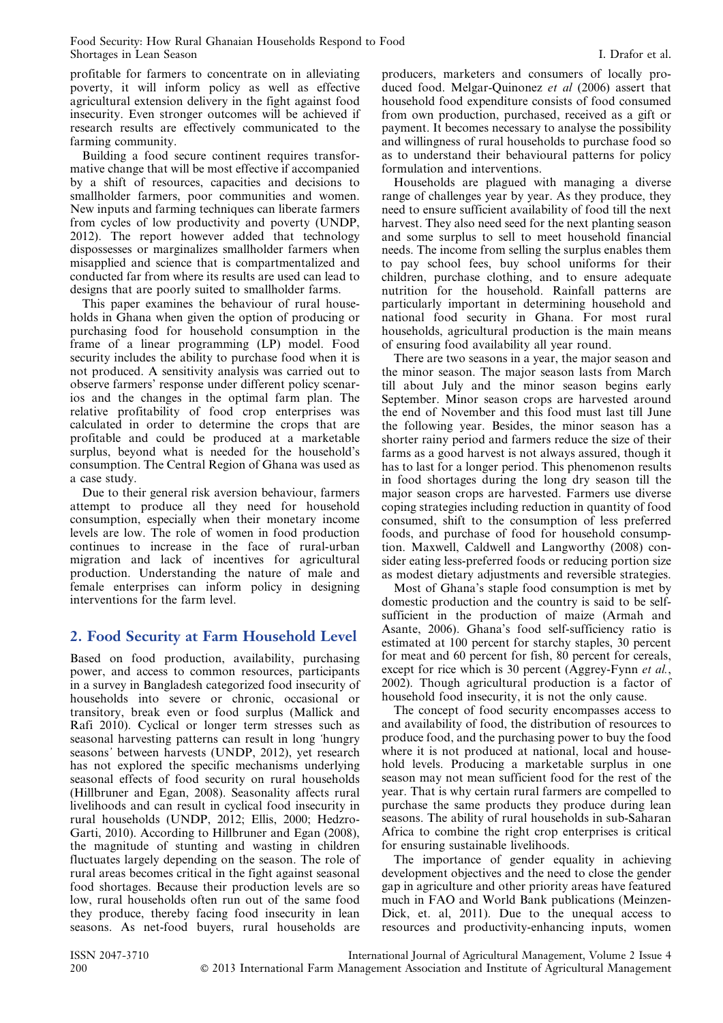profitable for farmers to concentrate on in alleviating poverty, it will inform policy as well as effective agricultural extension delivery in the fight against food insecurity. Even stronger outcomes will be achieved if research results are effectively communicated to the farming community.

Building a food secure continent requires transformative change that will be most effective if accompanied by a shift of resources, capacities and decisions to smallholder farmers, poor communities and women. New inputs and farming techniques can liberate farmers from cycles of low productivity and poverty (UNDP, 2012). The report however added that technology dispossesses or marginalizes smallholder farmers when misapplied and science that is compartmentalized and conducted far from where its results are used can lead to designs that are poorly suited to smallholder farms.

This paper examines the behaviour of rural households in Ghana when given the option of producing or purchasing food for household consumption in the frame of a linear programming (LP) model. Food security includes the ability to purchase food when it is not produced. A sensitivity analysis was carried out to observe farmers' response under different policy scenarios and the changes in the optimal farm plan. The relative profitability of food crop enterprises was calculated in order to determine the crops that are profitable and could be produced at a marketable surplus, beyond what is needed for the household's consumption. The Central Region of Ghana was used as a case study.

Due to their general risk aversion behaviour, farmers attempt to produce all they need for household consumption, especially when their monetary income levels are low. The role of women in food production continues to increase in the face of rural-urban migration and lack of incentives for agricultural production. Understanding the nature of male and female enterprises can inform policy in designing interventions for the farm level.

#### 2. Food Security at Farm Household Level

Based on food production, availability, purchasing power, and access to common resources, participants in a survey in Bangladesh categorized food insecurity of households into severe or chronic, occasional or transitory, break even or food surplus (Mallick and Rafi 2010). Cyclical or longer term stresses such as seasonal harvesting patterns can result in long 'hungry seasons' between harvests (UNDP, 2012), yet research has not explored the specific mechanisms underlying seasonal effects of food security on rural households (Hillbruner and Egan, 2008). Seasonality affects rural livelihoods and can result in cyclical food insecurity in rural households (UNDP, 2012; Ellis, 2000; Hedzro-Garti, 2010). According to Hillbruner and Egan (2008), the magnitude of stunting and wasting in children fluctuates largely depending on the season. The role of rural areas becomes critical in the fight against seasonal food shortages. Because their production levels are so low, rural households often run out of the same food they produce, thereby facing food insecurity in lean seasons. As net-food buyers, rural households are producers, marketers and consumers of locally produced food. Melgar-Quinonez et al (2006) assert that household food expenditure consists of food consumed from own production, purchased, received as a gift or payment. It becomes necessary to analyse the possibility and willingness of rural households to purchase food so as to understand their behavioural patterns for policy formulation and interventions.

Households are plagued with managing a diverse range of challenges year by year. As they produce, they need to ensure sufficient availability of food till the next harvest. They also need seed for the next planting season and some surplus to sell to meet household financial needs. The income from selling the surplus enables them to pay school fees, buy school uniforms for their children, purchase clothing, and to ensure adequate nutrition for the household. Rainfall patterns are particularly important in determining household and national food security in Ghana. For most rural households, agricultural production is the main means of ensuring food availability all year round.

There are two seasons in a year, the major season and the minor season. The major season lasts from March till about July and the minor season begins early September. Minor season crops are harvested around the end of November and this food must last till June the following year. Besides, the minor season has a shorter rainy period and farmers reduce the size of their farms as a good harvest is not always assured, though it has to last for a longer period. This phenomenon results in food shortages during the long dry season till the major season crops are harvested. Farmers use diverse coping strategies including reduction in quantity of food consumed, shift to the consumption of less preferred foods, and purchase of food for household consumption. Maxwell, Caldwell and Langworthy (2008) consider eating less-preferred foods or reducing portion size as modest dietary adjustments and reversible strategies.

Most of Ghana's staple food consumption is met by domestic production and the country is said to be selfsufficient in the production of maize (Armah and Asante, 2006). Ghana's food self-sufficiency ratio is estimated at 100 percent for starchy staples, 30 percent for meat and 60 percent for fish, 80 percent for cereals, except for rice which is 30 percent (Aggrey-Fynn et al., 2002). Though agricultural production is a factor of household food insecurity, it is not the only cause.

The concept of food security encompasses access to and availability of food, the distribution of resources to produce food, and the purchasing power to buy the food where it is not produced at national, local and household levels. Producing a marketable surplus in one season may not mean sufficient food for the rest of the year. That is why certain rural farmers are compelled to purchase the same products they produce during lean seasons. The ability of rural households in sub-Saharan Africa to combine the right crop enterprises is critical for ensuring sustainable livelihoods.

The importance of gender equality in achieving development objectives and the need to close the gender gap in agriculture and other priority areas have featured much in FAO and World Bank publications (Meinzen-Dick, et. al, 2011). Due to the unequal access to resources and productivity-enhancing inputs, women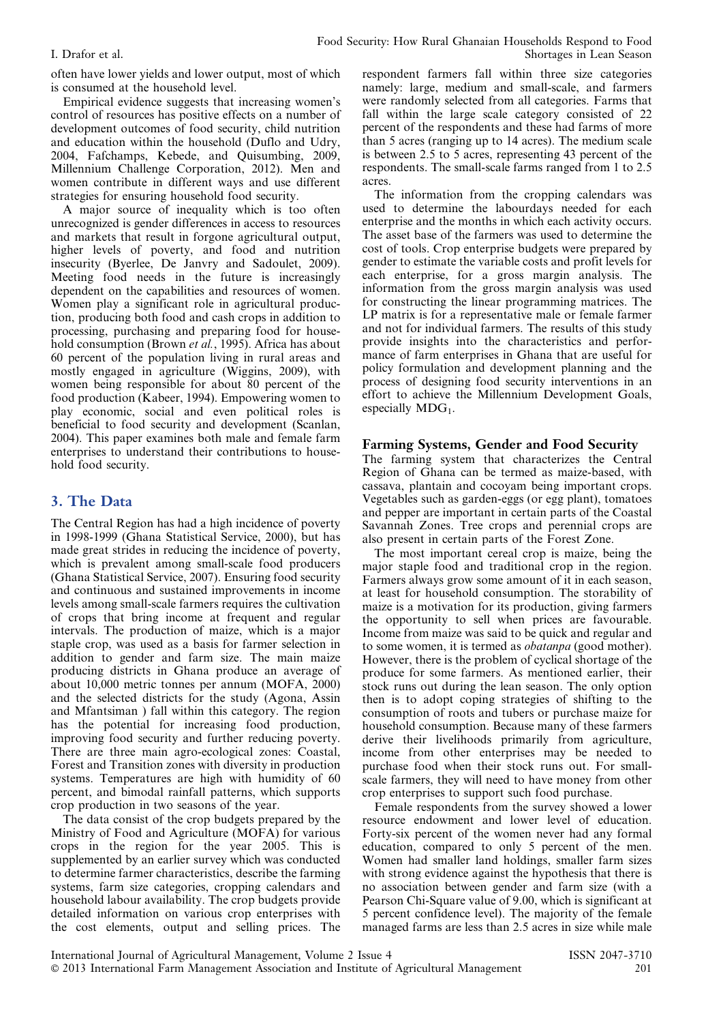often have lower yields and lower output, most of which is consumed at the household level.

Empirical evidence suggests that increasing women's control of resources has positive effects on a number of development outcomes of food security, child nutrition and education within the household (Duflo and Udry, 2004, Fafchamps, Kebede, and Quisumbing, 2009, Millennium Challenge Corporation, 2012). Men and women contribute in different ways and use different strategies for ensuring household food security.

A major source of inequality which is too often unrecognized is gender differences in access to resources and markets that result in forgone agricultural output, higher levels of poverty, and food and nutrition insecurity (Byerlee, De Janvry and Sadoulet, 2009). Meeting food needs in the future is increasingly dependent on the capabilities and resources of women. Women play a significant role in agricultural production, producing both food and cash crops in addition to processing, purchasing and preparing food for household consumption (Brown *et al.*, 1995). Africa has about 60 percent of the population living in rural areas and mostly engaged in agriculture (Wiggins, 2009), with women being responsible for about 80 percent of the food production (Kabeer, 1994). Empowering women to play economic, social and even political roles is beneficial to food security and development (Scanlan, 2004). This paper examines both male and female farm enterprises to understand their contributions to household food security.

#### 3. The Data

The Central Region has had a high incidence of poverty in 1998-1999 (Ghana Statistical Service, 2000), but has made great strides in reducing the incidence of poverty, which is prevalent among small-scale food producers (Ghana Statistical Service, 2007). Ensuring food security and continuous and sustained improvements in income levels among small-scale farmers requires the cultivation of crops that bring income at frequent and regular intervals. The production of maize, which is a major staple crop, was used as a basis for farmer selection in addition to gender and farm size. The main maize producing districts in Ghana produce an average of about 10,000 metric tonnes per annum (MOFA, 2000) and the selected districts for the study (Agona, Assin and Mfantsiman ) fall within this category. The region has the potential for increasing food production, improving food security and further reducing poverty. There are three main agro-ecological zones: Coastal, Forest and Transition zones with diversity in production systems. Temperatures are high with humidity of 60 percent, and bimodal rainfall patterns, which supports crop production in two seasons of the year.

The data consist of the crop budgets prepared by the Ministry of Food and Agriculture (MOFA) for various crops in the region for the year 2005. This is supplemented by an earlier survey which was conducted to determine farmer characteristics, describe the farming systems, farm size categories, cropping calendars and household labour availability. The crop budgets provide detailed information on various crop enterprises with the cost elements, output and selling prices. The

respondent farmers fall within three size categories namely: large, medium and small-scale, and farmers were randomly selected from all categories. Farms that fall within the large scale category consisted of 22 percent of the respondents and these had farms of more than 5 acres (ranging up to 14 acres). The medium scale is between 2.5 to 5 acres, representing 43 percent of the respondents. The small-scale farms ranged from 1 to 2.5 acres.

The information from the cropping calendars was used to determine the labourdays needed for each enterprise and the months in which each activity occurs. The asset base of the farmers was used to determine the cost of tools. Crop enterprise budgets were prepared by gender to estimate the variable costs and profit levels for each enterprise, for a gross margin analysis. The information from the gross margin analysis was used for constructing the linear programming matrices. The LP matrix is for a representative male or female farmer and not for individual farmers. The results of this study provide insights into the characteristics and performance of farm enterprises in Ghana that are useful for policy formulation and development planning and the process of designing food security interventions in an effort to achieve the Millennium Development Goals, especially  $MDG<sub>1</sub>$ .

#### Farming Systems, Gender and Food Security

The farming system that characterizes the Central Region of Ghana can be termed as maize-based, with cassava, plantain and cocoyam being important crops. Vegetables such as garden-eggs (or egg plant), tomatoes and pepper are important in certain parts of the Coastal Savannah Zones. Tree crops and perennial crops are also present in certain parts of the Forest Zone.

The most important cereal crop is maize, being the major staple food and traditional crop in the region. Farmers always grow some amount of it in each season, at least for household consumption. The storability of maize is a motivation for its production, giving farmers the opportunity to sell when prices are favourable. Income from maize was said to be quick and regular and to some women, it is termed as obatanpa (good mother). However, there is the problem of cyclical shortage of the produce for some farmers. As mentioned earlier, their stock runs out during the lean season. The only option then is to adopt coping strategies of shifting to the consumption of roots and tubers or purchase maize for household consumption. Because many of these farmers derive their livelihoods primarily from agriculture, income from other enterprises may be needed to purchase food when their stock runs out. For smallscale farmers, they will need to have money from other crop enterprises to support such food purchase.

Female respondents from the survey showed a lower resource endowment and lower level of education. Forty-six percent of the women never had any formal education, compared to only 5 percent of the men. Women had smaller land holdings, smaller farm sizes with strong evidence against the hypothesis that there is no association between gender and farm size (with a Pearson Chi-Square value of 9.00, which is significant at 5 percent confidence level). The majority of the female managed farms are less than 2.5 acres in size while male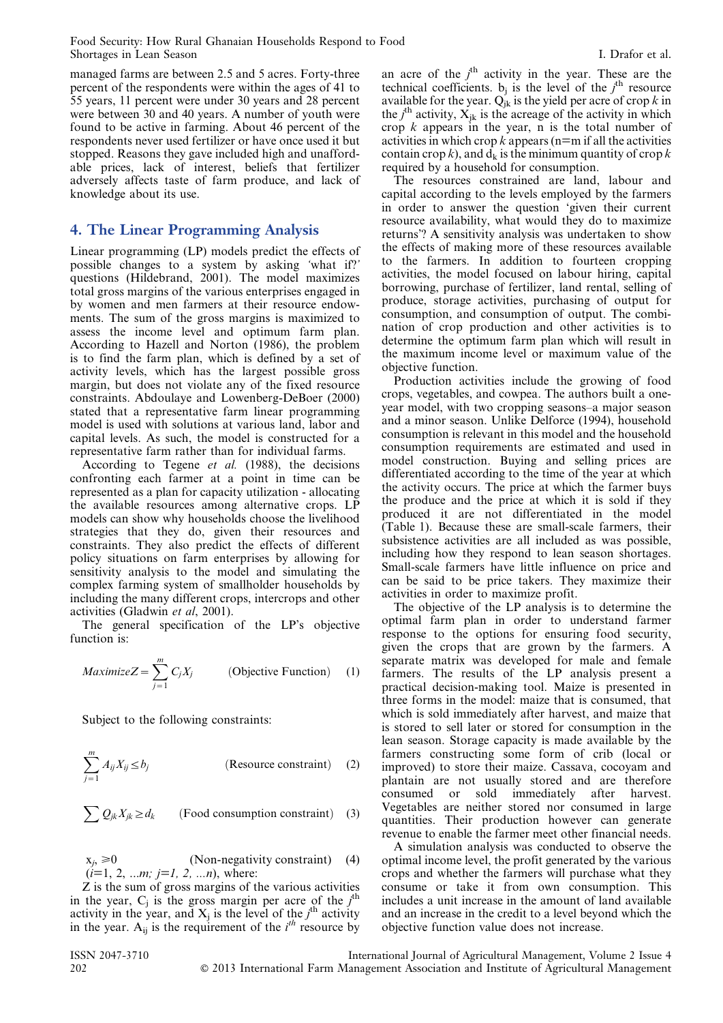managed farms are between 2.5 and 5 acres. Forty-three percent of the respondents were within the ages of 41 to 55 years, 11 percent were under 30 years and 28 percent were between 30 and 40 years. A number of youth were found to be active in farming. About 46 percent of the respondents never used fertilizer or have once used it but stopped. Reasons they gave included high and unaffordable prices, lack of interest, beliefs that fertilizer adversely affects taste of farm produce, and lack of knowledge about its use.

#### 4. The Linear Programming Analysis

Linear programming (LP) models predict the effects of possible changes to a system by asking 'what if?' questions (Hildebrand, 2001). The model maximizes total gross margins of the various enterprises engaged in by women and men farmers at their resource endowments. The sum of the gross margins is maximized to assess the income level and optimum farm plan. According to Hazell and Norton (1986), the problem is to find the farm plan, which is defined by a set of activity levels, which has the largest possible gross margin, but does not violate any of the fixed resource constraints. Abdoulaye and Lowenberg-DeBoer (2000) stated that a representative farm linear programming model is used with solutions at various land, labor and capital levels. As such, the model is constructed for a representative farm rather than for individual farms.

According to Tegene et al. (1988), the decisions confronting each farmer at a point in time can be represented as a plan for capacity utilization - allocating the available resources among alternative crops. LP models can show why households choose the livelihood strategies that they do, given their resources and constraints. They also predict the effects of different policy situations on farm enterprises by allowing for sensitivity analysis to the model and simulating the complex farming system of smallholder households by including the many different crops, intercrops and other activities (Gladwin et al, 2001).

The general specification of the LP's objective function is:

$$
Maximize Z = \sum_{j=1}^{m} C_j X_j
$$
 (Objective Function) (1)

Subject to the following constraints:

$$
\sum_{j=1}^{m} A_{ij} X_{ij} \le b_j
$$
 (Resource constraint) (2)

$$
\sum Q_{jk} X_{jk} \ge d_k
$$
 (Food consumption constraint) (3)

 $x_i \ge 0$  (Non-negativity constraint) (4)  $(i=1, 2, \ldots m; j=1, 2, \ldots n)$ , where:

Z is the sum of gross margins of the various activities in the year,  $C_j$  is the gross margin per acre of the  $j^{\text{th}}$ activity in the year, and  $X_j$  is the level of the  $j<sup>th</sup>$  activity in the year.  $A_{ij}$  is the requirement of the  $i^{th}$  resource by

an acre of the  $j<sup>th</sup>$  activity in the year. These are the technical coefficients.  $b_j$  is the level of the  $j<sup>th</sup>$  resource available for the year.  $Q_{ik}$  is the yield per acre of crop k in the  $j<sup>th</sup>$  activity,  $\dot{X}_{jk}$  is the acreage of the activity in which crop  $k$  appears in the year, n is the total number of activities in which crop  $k$  appears (n=m if all the activities contain crop k), and  $\overline{d_k}$  is the minimum quantity of crop k required by a household for consumption.

The resources constrained are land, labour and capital according to the levels employed by the farmers in order to answer the question 'given their current resource availability, what would they do to maximize returns'? A sensitivity analysis was undertaken to show the effects of making more of these resources available to the farmers. In addition to fourteen cropping activities, the model focused on labour hiring, capital borrowing, purchase of fertilizer, land rental, selling of produce, storage activities, purchasing of output for consumption, and consumption of output. The combination of crop production and other activities is to determine the optimum farm plan which will result in the maximum income level or maximum value of the objective function.

Production activities include the growing of food crops, vegetables, and cowpea. The authors built a oneyear model, with two cropping seasons–a major season and a minor season. Unlike Delforce (1994), household consumption is relevant in this model and the household consumption requirements are estimated and used in model construction. Buying and selling prices are differentiated according to the time of the year at which the activity occurs. The price at which the farmer buys the produce and the price at which it is sold if they produced it are not differentiated in the model (Table 1). Because these are small-scale farmers, their subsistence activities are all included as was possible, including how they respond to lean season shortages. Small-scale farmers have little influence on price and can be said to be price takers. They maximize their activities in order to maximize profit.

The objective of the LP analysis is to determine the optimal farm plan in order to understand farmer response to the options for ensuring food security, given the crops that are grown by the farmers. A separate matrix was developed for male and female farmers. The results of the LP analysis present a practical decision-making tool. Maize is presented in three forms in the model: maize that is consumed, that which is sold immediately after harvest, and maize that is stored to sell later or stored for consumption in the lean season. Storage capacity is made available by the farmers constructing some form of crib (local or improved) to store their maize. Cassava, cocoyam and plantain are not usually stored and are therefore consumed or sold immediately after harvest. Vegetables are neither stored nor consumed in large quantities. Their production however can generate revenue to enable the farmer meet other financial needs.

A simulation analysis was conducted to observe the optimal income level, the profit generated by the various crops and whether the farmers will purchase what they consume or take it from own consumption. This includes a unit increase in the amount of land available and an increase in the credit to a level beyond which the objective function value does not increase.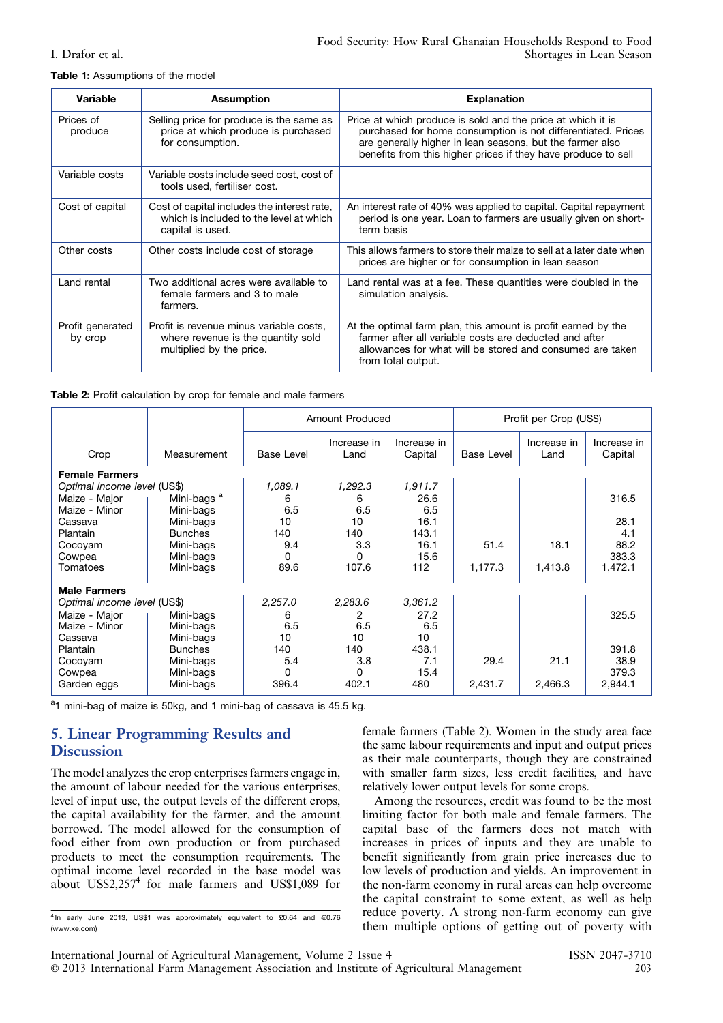#### Table 1: Assumptions of the model

| Variable                    | <b>Assumption</b>                                                                                          | <b>Explanation</b>                                                                                                                                                                                                                                        |  |  |  |
|-----------------------------|------------------------------------------------------------------------------------------------------------|-----------------------------------------------------------------------------------------------------------------------------------------------------------------------------------------------------------------------------------------------------------|--|--|--|
| Prices of<br>produce        | Selling price for produce is the same as<br>price at which produce is purchased<br>for consumption.        | Price at which produce is sold and the price at which it is<br>purchased for home consumption is not differentiated. Prices<br>are generally higher in lean seasons, but the farmer also<br>benefits from this higher prices if they have produce to sell |  |  |  |
| Variable costs              | Variable costs include seed cost, cost of<br>tools used, fertiliser cost.                                  |                                                                                                                                                                                                                                                           |  |  |  |
| Cost of capital             | Cost of capital includes the interest rate,<br>which is included to the level at which<br>capital is used. | An interest rate of 40% was applied to capital. Capital repayment<br>period is one year. Loan to farmers are usually given on short-<br>term basis                                                                                                        |  |  |  |
| Other costs                 | Other costs include cost of storage                                                                        | This allows farmers to store their maize to sell at a later date when<br>prices are higher or for consumption in lean season                                                                                                                              |  |  |  |
| Land rental                 | Two additional acres were available to<br>female farmers and 3 to male<br>farmers.                         | Land rental was at a fee. These quantities were doubled in the<br>simulation analysis.                                                                                                                                                                    |  |  |  |
| Profit generated<br>by crop | Profit is revenue minus variable costs.<br>where revenue is the quantity sold<br>multiplied by the price.  | At the optimal farm plan, this amount is profit earned by the<br>farmer after all variable costs are deducted and after<br>allowances for what will be stored and consumed are taken<br>from total output.                                                |  |  |  |

|  |  |  | Table 2: Profit calculation by crop for female and male farmers |  |  |  |  |  |  |  |
|--|--|--|-----------------------------------------------------------------|--|--|--|--|--|--|--|
|--|--|--|-----------------------------------------------------------------|--|--|--|--|--|--|--|

|                             |                        | Amount Produced   |                     |                        | Profit per Crop (US\$) |                     |                        |  |  |
|-----------------------------|------------------------|-------------------|---------------------|------------------------|------------------------|---------------------|------------------------|--|--|
| Crop                        | Measurement            | <b>Base Level</b> | Increase in<br>Land | Increase in<br>Capital | <b>Base Level</b>      | Increase in<br>Land | Increase in<br>Capital |  |  |
| <b>Female Farmers</b>       |                        |                   |                     |                        |                        |                     |                        |  |  |
| Optimal income level (US\$) |                        | 1,089.1           | 1,292.3             | 1,911.7                |                        |                     |                        |  |  |
| Maize - Major               | Mini-bags <sup>a</sup> | 6                 | 6                   | 26.6                   |                        |                     | 316.5                  |  |  |
| Maize - Minor               | Mini-bags              | 6.5               | 6.5                 | 6.5                    |                        |                     |                        |  |  |
| Cassava                     | Mini-bags              | 10                | 10                  | 16.1                   |                        |                     | 28.1                   |  |  |
| Plantain                    | <b>Bunches</b>         | 140               | 140                 | 143.1                  |                        |                     | 4.1                    |  |  |
| Cocoyam                     | Mini-bags              | 9.4               | 3.3                 | 16.1                   | 51.4                   | 18.1                | 88.2                   |  |  |
| Cowpea                      | Mini-bags              | 0                 | 0                   | 15.6                   |                        |                     | 383.3                  |  |  |
| Tomatoes                    | Mini-bags              | 89.6              | 107.6               | 112                    | 1.177.3                | 1,413.8             | 1,472.1                |  |  |
| <b>Male Farmers</b>         |                        |                   |                     |                        |                        |                     |                        |  |  |
| Optimal income level (US\$) |                        | 2,257.0           | 2,283.6             | 3,361.2                |                        |                     |                        |  |  |
| Maize - Major               | Mini-bags              | 6                 | 2                   | 27.2                   |                        |                     | 325.5                  |  |  |
| Maize - Minor               | Mini-bags              | 6.5               | 6.5                 | 6.5                    |                        |                     |                        |  |  |
| Cassava                     | Mini-bags              | 10                | 10                  | 10                     |                        |                     |                        |  |  |
| Plantain                    | <b>Bunches</b>         | 140               | 140                 | 438.1                  |                        |                     | 391.8                  |  |  |
| Cocoyam                     | Mini-bags              | 5.4               | 3.8                 | 7.1                    | 29.4                   | 21.1                | 38.9                   |  |  |
| Cowpea                      | Mini-bags              | 0                 | 0                   | 15.4                   |                        |                     | 379.3                  |  |  |
| Garden eggs                 | Mini-bags              | 396.4             | 402.1               | 480                    | 2,431.7                | 2,466.3             | 2,944.1                |  |  |

<sup>a</sup>1 mini-bag of maize is 50kg, and 1 mini-bag of cassava is 45.5 kg.

### 5. Linear Programming Results and **Discussion**

The model analyzes the crop enterprises farmers engage in, the amount of labour needed for the various enterprises, level of input use, the output levels of the different crops, the capital availability for the farmer, and the amount borrowed. The model allowed for the consumption of food either from own production or from purchased products to meet the consumption requirements. The optimal income level recorded in the base model was about US\$2,2574 for male farmers and US\$1,089 for

female farmers (Table 2). Women in the study area face the same labour requirements and input and output prices as their male counterparts, though they are constrained with smaller farm sizes, less credit facilities, and have relatively lower output levels for some crops.

Among the resources, credit was found to be the most limiting factor for both male and female farmers. The capital base of the farmers does not match with increases in prices of inputs and they are unable to benefit significantly from grain price increases due to low levels of production and yields. An improvement in the non-farm economy in rural areas can help overcome the capital constraint to some extent, as well as help reduce poverty. A strong non-farm economy can give them multiple options of getting out of poverty with

 $4$  In early June 2013, US\$1 was approximately equivalent to £0.64 and  $\in$ 0.76 (www.xe.com)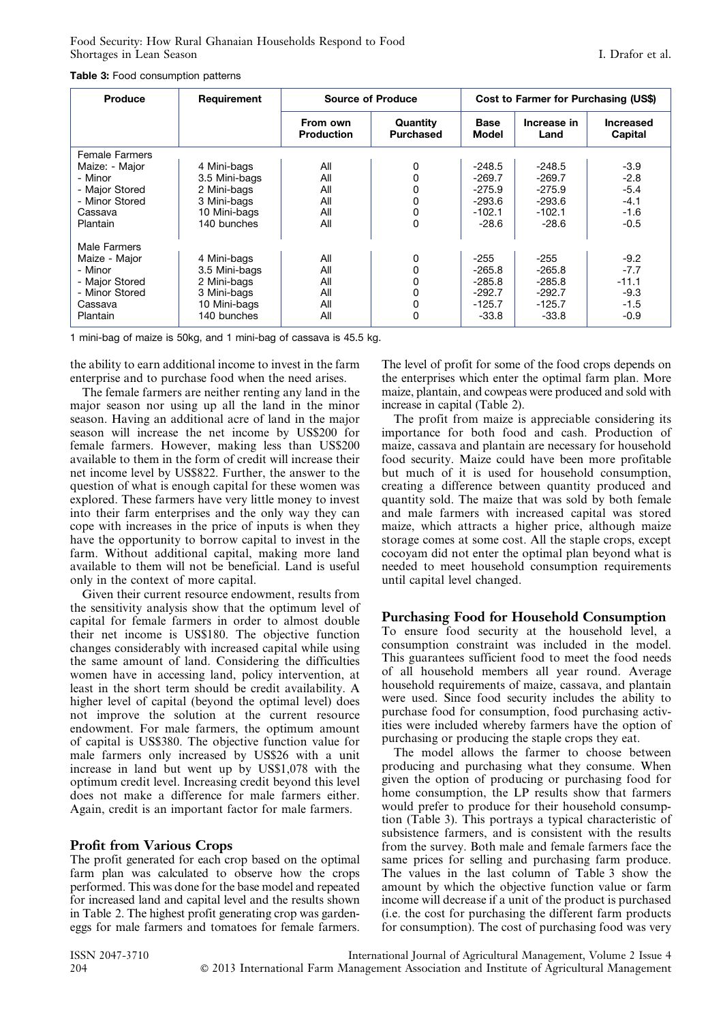| Produce        | Requirement   | <b>Source of Produce</b>      |                              | Cost to Farmer for Purchasing (US\$) |                     |                             |  |
|----------------|---------------|-------------------------------|------------------------------|--------------------------------------|---------------------|-----------------------------|--|
|                |               | From own<br><b>Production</b> | Quantity<br><b>Purchased</b> | Base<br>Model                        | Increase in<br>Land | <b>Increased</b><br>Capital |  |
| Female Farmers |               |                               |                              |                                      |                     |                             |  |
| Maize: - Major | 4 Mini-bags   | All                           | 0                            | $-248.5$                             | $-248.5$            | $-3.9$                      |  |
| - Minor        | 3.5 Mini-bags | All                           | 0                            | $-269.7$                             | $-269.7$            | $-2.8$                      |  |
| - Major Stored | 2 Mini-bags   | All                           | 0                            | $-275.9$                             | $-275.9$            | $-5.4$                      |  |
| - Minor Stored | 3 Mini-bags   | All                           | 0                            | $-293.6$                             | $-293.6$            | $-4.1$                      |  |
| Cassava        | 10 Mini-bags  | All                           | 0                            | $-102.1$                             | $-102.1$            | $-1.6$                      |  |
| Plantain       | 140 bunches   | All                           | 0                            | $-28.6$                              | $-28.6$             | $-0.5$                      |  |
| Male Farmers   |               |                               |                              |                                      |                     |                             |  |
| Maize - Major  | 4 Mini-bags   | All                           | 0                            | $-255$                               | $-255$              | $-9.2$                      |  |
| - Minor        | 3.5 Mini-bags | All                           | 0                            | $-265.8$                             | $-265.8$            | $-7.7$                      |  |
| - Major Stored | 2 Mini-bags   | All                           | 0                            | $-285.8$                             | $-285.8$            | $-11.1$                     |  |
| - Minor Stored | 3 Mini-bags   | All                           | 0                            | $-292.7$                             | $-292.7$            | $-9.3$                      |  |
| Cassava        | 10 Mini-bags  | All                           | 0                            | $-125.7$                             | $-125.7$            | $-1.5$                      |  |
| Plantain       | 140 bunches   | All                           | 0                            | $-33.8$                              | $-33.8$             | $-0.9$                      |  |

Table 3: Food consumption patterns

1 mini-bag of maize is 50kg, and 1 mini-bag of cassava is 45.5 kg.

the ability to earn additional income to invest in the farm enterprise and to purchase food when the need arises.

The female farmers are neither renting any land in the major season nor using up all the land in the minor season. Having an additional acre of land in the major season will increase the net income by US\$200 for female farmers. However, making less than US\$200 available to them in the form of credit will increase their net income level by US\$822. Further, the answer to the question of what is enough capital for these women was explored. These farmers have very little money to invest into their farm enterprises and the only way they can cope with increases in the price of inputs is when they have the opportunity to borrow capital to invest in the farm. Without additional capital, making more land available to them will not be beneficial. Land is useful only in the context of more capital.

Given their current resource endowment, results from the sensitivity analysis show that the optimum level of capital for female farmers in order to almost double their net income is US\$180. The objective function changes considerably with increased capital while using the same amount of land. Considering the difficulties women have in accessing land, policy intervention, at least in the short term should be credit availability. A higher level of capital (beyond the optimal level) does not improve the solution at the current resource endowment. For male farmers, the optimum amount of capital is US\$380. The objective function value for male farmers only increased by US\$26 with a unit increase in land but went up by US\$1,078 with the optimum credit level. Increasing credit beyond this level does not make a difference for male farmers either. Again, credit is an important factor for male farmers.

#### Profit from Various Crops

The profit generated for each crop based on the optimal farm plan was calculated to observe how the crops performed. This was done for the base model and repeated for increased land and capital level and the results shown in Table 2. The highest profit generating crop was gardeneggs for male farmers and tomatoes for female farmers. The level of profit for some of the food crops depends on the enterprises which enter the optimal farm plan. More maize, plantain, and cowpeas were produced and sold with increase in capital (Table 2).

The profit from maize is appreciable considering its importance for both food and cash. Production of maize, cassava and plantain are necessary for household food security. Maize could have been more profitable but much of it is used for household consumption, creating a difference between quantity produced and quantity sold. The maize that was sold by both female and male farmers with increased capital was stored maize, which attracts a higher price, although maize storage comes at some cost. All the staple crops, except cocoyam did not enter the optimal plan beyond what is needed to meet household consumption requirements until capital level changed.

#### Purchasing Food for Household Consumption

To ensure food security at the household level, a consumption constraint was included in the model. This guarantees sufficient food to meet the food needs of all household members all year round. Average household requirements of maize, cassava, and plantain were used. Since food security includes the ability to purchase food for consumption, food purchasing activities were included whereby farmers have the option of purchasing or producing the staple crops they eat.

The model allows the farmer to choose between producing and purchasing what they consume. When given the option of producing or purchasing food for home consumption, the LP results show that farmers would prefer to produce for their household consumption (Table 3). This portrays a typical characteristic of subsistence farmers, and is consistent with the results from the survey. Both male and female farmers face the same prices for selling and purchasing farm produce. The values in the last column of Table 3 show the amount by which the objective function value or farm income will decrease if a unit of the product is purchased (i.e. the cost for purchasing the different farm products for consumption). The cost of purchasing food was very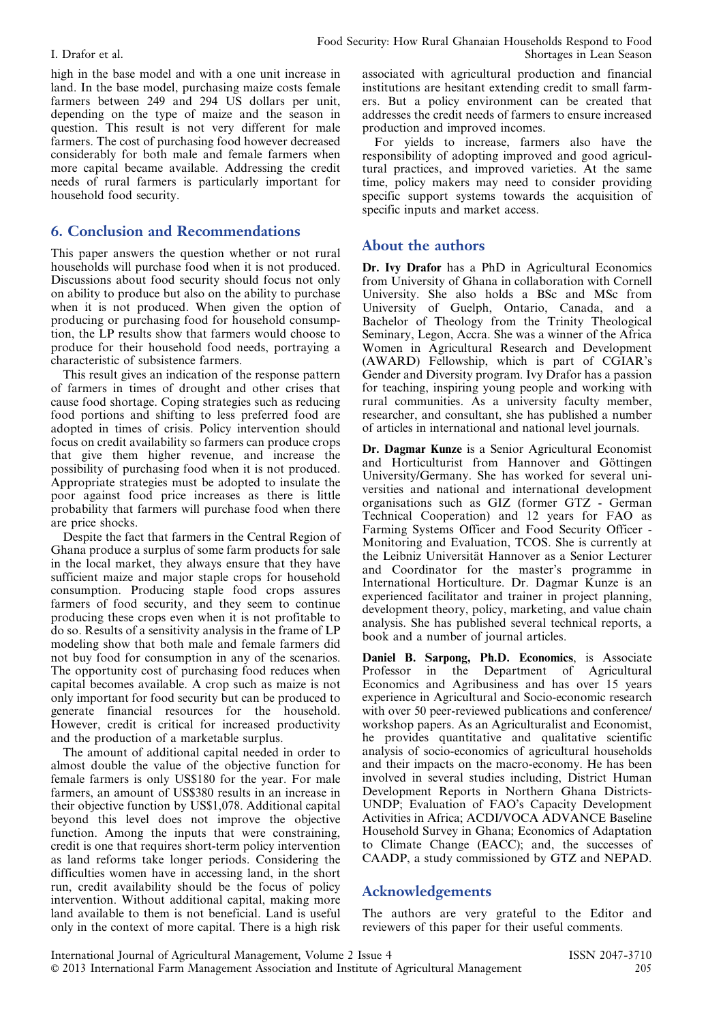high in the base model and with a one unit increase in land. In the base model, purchasing maize costs female farmers between 249 and 294 US dollars per unit, depending on the type of maize and the season in question. This result is not very different for male farmers. The cost of purchasing food however decreased considerably for both male and female farmers when more capital became available. Addressing the credit needs of rural farmers is particularly important for household food security.

#### 6. Conclusion and Recommendations

This paper answers the question whether or not rural households will purchase food when it is not produced. Discussions about food security should focus not only on ability to produce but also on the ability to purchase when it is not produced. When given the option of producing or purchasing food for household consumption, the LP results show that farmers would choose to produce for their household food needs, portraying a characteristic of subsistence farmers.

This result gives an indication of the response pattern of farmers in times of drought and other crises that cause food shortage. Coping strategies such as reducing food portions and shifting to less preferred food are adopted in times of crisis. Policy intervention should focus on credit availability so farmers can produce crops that give them higher revenue, and increase the possibility of purchasing food when it is not produced. Appropriate strategies must be adopted to insulate the poor against food price increases as there is little probability that farmers will purchase food when there are price shocks.

Despite the fact that farmers in the Central Region of Ghana produce a surplus of some farm products for sale in the local market, they always ensure that they have sufficient maize and major staple crops for household consumption. Producing staple food crops assures farmers of food security, and they seem to continue producing these crops even when it is not profitable to do so. Results of a sensitivity analysis in the frame of LP modeling show that both male and female farmers did not buy food for consumption in any of the scenarios. The opportunity cost of purchasing food reduces when capital becomes available. A crop such as maize is not only important for food security but can be produced to generate financial resources for the household. However, credit is critical for increased productivity and the production of a marketable surplus.

The amount of additional capital needed in order to almost double the value of the objective function for female farmers is only US\$180 for the year. For male farmers, an amount of US\$380 results in an increase in their objective function by US\$1,078. Additional capital beyond this level does not improve the objective function. Among the inputs that were constraining, credit is one that requires short-term policy intervention as land reforms take longer periods. Considering the difficulties women have in accessing land, in the short run, credit availability should be the focus of policy intervention. Without additional capital, making more land available to them is not beneficial. Land is useful only in the context of more capital. There is a high risk

associated with agricultural production and financial institutions are hesitant extending credit to small farmers. But a policy environment can be created that addresses the credit needs of farmers to ensure increased production and improved incomes.

For yields to increase, farmers also have the responsibility of adopting improved and good agricultural practices, and improved varieties. At the same time, policy makers may need to consider providing specific support systems towards the acquisition of specific inputs and market access.

#### About the authors

Dr. Ivy Drafor has a PhD in Agricultural Economics from University of Ghana in collaboration with Cornell University. She also holds a BSc and MSc from University of Guelph, Ontario, Canada, and a Bachelor of Theology from the Trinity Theological Seminary, Legon, Accra. She was a winner of the Africa Women in Agricultural Research and Development (AWARD) Fellowship, which is part of CGIAR's Gender and Diversity program. Ivy Drafor has a passion for teaching, inspiring young people and working with rural communities. As a university faculty member, researcher, and consultant, she has published a number of articles in international and national level journals.

Dr. Dagmar Kunze is a Senior Agricultural Economist and Horticulturist from Hannover and Göttingen University/Germany. She has worked for several universities and national and international development organisations such as GIZ (former GTZ - German Technical Cooperation) and 12 years for FAO as Farming Systems Officer and Food Security Officer - Monitoring and Evaluation, TCOS. She is currently at the Leibniz Universität Hannover as a Senior Lecturer and Coordinator for the master's programme in International Horticulture. Dr. Dagmar Kunze is an experienced facilitator and trainer in project planning, development theory, policy, marketing, and value chain analysis. She has published several technical reports, a book and a number of journal articles.

Daniel B. Sarpong, Ph.D. Economics, is Associate Professor in the Department of Agricultural Economics and Agribusiness and has over 15 years experience in Agricultural and Socio-economic research with over 50 peer-reviewed publications and conference/ workshop papers. As an Agriculturalist and Economist, he provides quantitative and qualitative scientific analysis of socio-economics of agricultural households and their impacts on the macro-economy. He has been involved in several studies including, District Human Development Reports in Northern Ghana Districts-UNDP; Evaluation of FAO's Capacity Development Activities in Africa; ACDI/VOCA ADVANCE Baseline Household Survey in Ghana; Economics of Adaptation to Climate Change (EACC); and, the successes of CAADP, a study commissioned by GTZ and NEPAD.

#### Acknowledgements

The authors are very grateful to the Editor and reviewers of this paper for their useful comments.